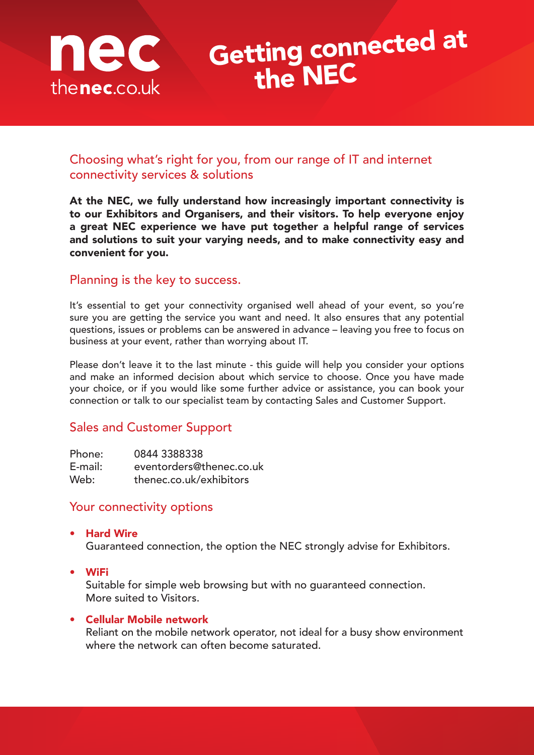

# Getting connected at the NEC

### Choosing what's right for you, from our range of IT and internet connectivity services & solutions

At the NEC, we fully understand how increasingly important connectivity is to our Exhibitors and Organisers, and their visitors. To help everyone enjoy a great NEC experience we have put together a helpful range of services and solutions to suit your varying needs, and to make connectivity easy and convenient for you.

### Planning is the key to success.

It's essential to get your connectivity organised well ahead of your event, so you're sure you are getting the service you want and need. It also ensures that any potential questions, issues or problems can be answered in advance – leaving you free to focus on business at your event, rather than worrying about IT.

Please don't leave it to the last minute - this guide will help you consider your options and make an informed decision about which service to choose. Once you have made your choice, or if you would like some further advice or assistance, you can book your connection or talk to our specialist team by contacting Sales and Customer Support.

## Sales and Customer Support

| Phone:     | 0844 3388338             |
|------------|--------------------------|
| $E$ -mail: | eventorders@thenec.co.uk |
| Web:       | thenec.co.uk/exhibitors  |

### Your connectivity options

- Hard Wire Guaranteed connection, the option the NEC strongly advise for Exhibitors.
- WiFi

Suitable for simple web browsing but with no guaranteed connection. More suited to Visitors.

### • Cellular Mobile network

Reliant on the mobile network operator, not ideal for a busy show environment where the network can often become saturated.